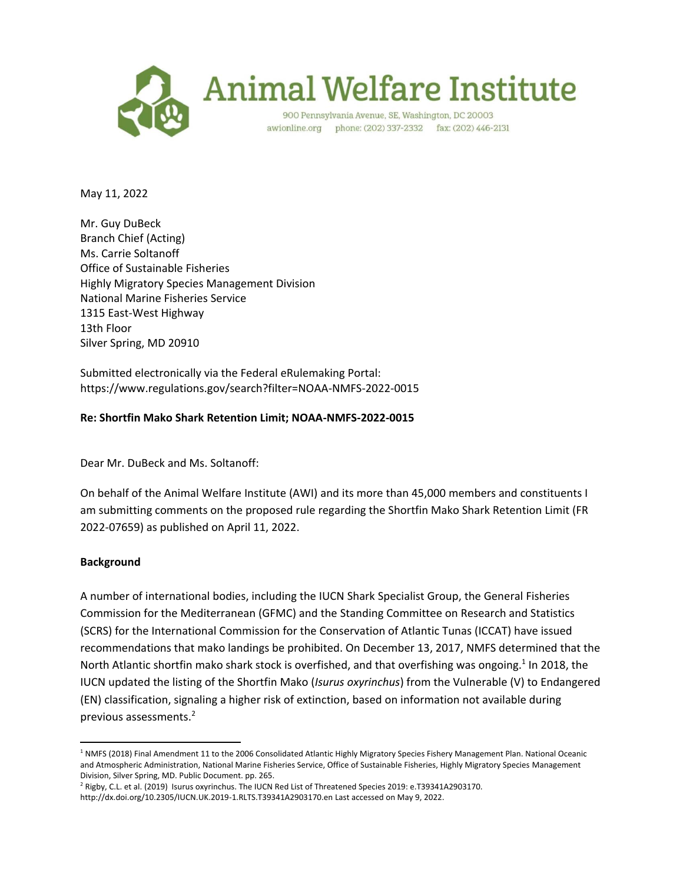

May 11, 2022

Mr. Guy DuBeck Branch Chief (Acting) Ms. Carrie Soltanoff Office of Sustainable Fisheries Highly Migratory Species Management Division National Marine Fisheries Service 1315 East-West Highway 13th Floor Silver Spring, MD 20910

Submitted electronically via the Federal eRulemaking Portal: https://www.regulations.gov/search?filter=NOAA-NMFS-2022-0015

## **Re: Shortfin Mako Shark Retention Limit; NOAA-NMFS-2022-0015**

Dear Mr. DuBeck and Ms. Soltanoff:

On behalf of the Animal Welfare Institute (AWI) and its more than 45,000 members and constituents I am submitting comments on the proposed rule regarding the Shortfin Mako Shark Retention Limit (FR 2022-07659) as published on April 11, 2022.

## **Background**

A number of international bodies, including the IUCN Shark Specialist Group, the General Fisheries Commission for the Mediterranean (GFMC) and the Standing Committee on Research and Statistics (SCRS) for the International Commission for the Conservation of Atlantic Tunas (ICCAT) have issued recommendations that mako landings be prohibited. On December 13, 2017, NMFS determined that the North Atlantic shortfin mako shark stock is overfished, and that overfishing was ongoing.<sup>1</sup> In 2018, the IUCN updated the listing of the Shortfin Mako (*Isurus oxyrinchus*) from the Vulnerable (V) to Endangered (EN) classification, signaling a higher risk of extinction, based on information not available during previous assessments. 2

 $\overline{\phantom{a}}$ <sup>1</sup> NMFS (2018) Final Amendment 11 to the 2006 Consolidated Atlantic Highly Migratory Species Fishery Management Plan. National Oceanic and Atmospheric Administration, National Marine Fisheries Service, Office of Sustainable Fisheries, Highly Migratory Species Management Division, Silver Spring, MD. Public Document. pp. 265.

<sup>2</sup> Rigby, C.L. et al. (2019) Isurus oxyrinchus. The IUCN Red List of Threatened Species 2019: e.T39341A2903170. http://dx.doi.org/10.2305/IUCN.UK.2019-1.RLTS.T39341A2903170.en Last accessed on May 9, 2022.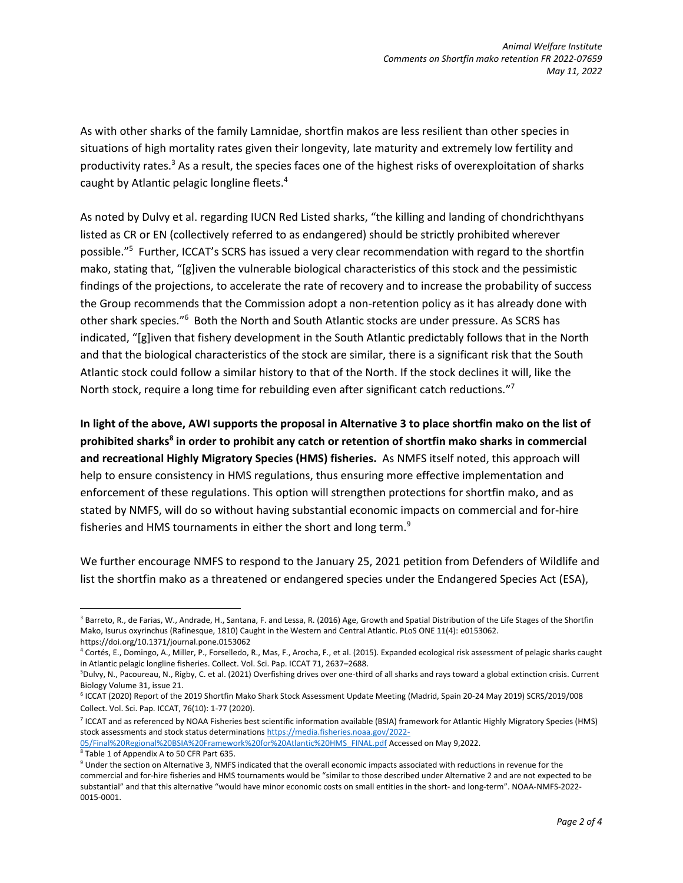As with other sharks of the family Lamnidae, shortfin makos are less resilient than other species in situations of high mortality rates given their longevity, late maturity and extremely low fertility and productivity rates.<sup>3</sup> As a result, the species faces one of the highest risks of overexploitation of sharks caught by Atlantic pelagic longline fleets. 4

As noted by Dulvy et al. regarding IUCN Red Listed sharks, "the killing and landing of chondrichthyans listed as CR or EN (collectively referred to as endangered) should be strictly prohibited wherever possible."<sup>5</sup> Further, ICCAT's SCRS has issued a very clear recommendation with regard to the shortfin mako, stating that, "[g]iven the vulnerable biological characteristics of this stock and the pessimistic findings of the projections, to accelerate the rate of recovery and to increase the probability of success the Group recommends that the Commission adopt a non-retention policy as it has already done with other shark species."<sup>6</sup> Both the North and South Atlantic stocks are under pressure. As SCRS has indicated, "[g]iven that fishery development in the South Atlantic predictably follows that in the North and that the biological characteristics of the stock are similar, there is a significant risk that the South Atlantic stock could follow a similar history to that of the North. If the stock declines it will, like the North stock, require a long time for rebuilding even after significant catch reductions."<sup>7</sup>

**In light of the above, AWI supports the proposal in Alternative 3 to place shortfin mako on the list of prohibited sharks<sup>8</sup> in order to prohibit any catch or retention of shortfin mako sharks in commercial and recreational Highly Migratory Species (HMS) fisheries.** As NMFS itself noted, this approach will help to ensure consistency in HMS regulations, thus ensuring more effective implementation and enforcement of these regulations. This option will strengthen protections for shortfin mako, and as stated by NMFS, will do so without having substantial economic impacts on commercial and for-hire fisheries and HMS tournaments in either the short and long term.<sup>9</sup>

We further encourage NMFS to respond to the January 25, 2021 petition from Defenders of Wildlife and list the shortfin mako as a threatened or endangered species under the Endangered Species Act (ESA),

 $\overline{a}$ 

<sup>&</sup>lt;sup>3</sup> Barreto, R., de Farias, W., Andrade, H., Santana, F. and Lessa, R. (2016) Age, Growth and Spatial Distribution of the Life Stages of the Shortfin Mako, Isurus oxyrinchus (Rafinesque, 1810) Caught in the Western and Central Atlantic. PLoS ONE 11(4): e0153062. https://doi.org/10.1371/journal.pone.0153062

<sup>4</sup> Cortés, E., Domingo, A., Miller, P., Forselledo, R., Mas, F., Arocha, F., et al. (2015). Expanded ecological risk assessment of pelagic sharks caught in Atlantic pelagic longline fisheries. Collect. Vol. Sci. Pap. ICCAT 71, 2637–2688.

<sup>5</sup>Dulvy, N., Pacoureau, N., Rigby, C. et al. (2021) Overfishing drives over one-third of all sharks and rays toward a global extinction crisis. Current Biology Volume 31, issue 21.

<sup>6</sup> ICCAT (2020) Report of the 2019 Shortfin Mako Shark Stock Assessment Update Meeting (Madrid, Spain 20-24 May 2019) SCRS/2019/008 Collect. Vol. Sci. Pap. ICCAT, 76(10): 1-77 (2020).

<sup>&</sup>lt;sup>7</sup> ICCAT and as referenced by NOAA Fisheries best scientific information available (BSIA) framework for Atlantic Highly Migratory Species (HMS) stock assessments and stock status determination[s https://media.fisheries.noaa.gov/2022-](https://media.fisheries.noaa.gov/2022-05/Final%20Regional%20BSIA%20Framework%20for%20Atlantic%20HMS_FINAL.pdf)

[<sup>05/</sup>Final%20Regional%20BSIA%20Framework%20for%20Atlantic%20HMS\\_FINAL.pdf](https://media.fisheries.noaa.gov/2022-05/Final%20Regional%20BSIA%20Framework%20for%20Atlantic%20HMS_FINAL.pdf) Accessed on May 9,2022.

<sup>8</sup> Table 1 of Appendix A to 50 CFR Part 635.

<sup>&</sup>lt;sup>9</sup> Under the section on Alternative 3, NMFS indicated that the overall economic impacts associated with reductions in revenue for the commercial and for-hire fisheries and HMS tournaments would be "similar to those described under Alternative 2 and are not expected to be substantial" and that this alternative "would have minor economic costs on small entities in the short- and long-term". NOAA-NMFS-2022- 0015-0001.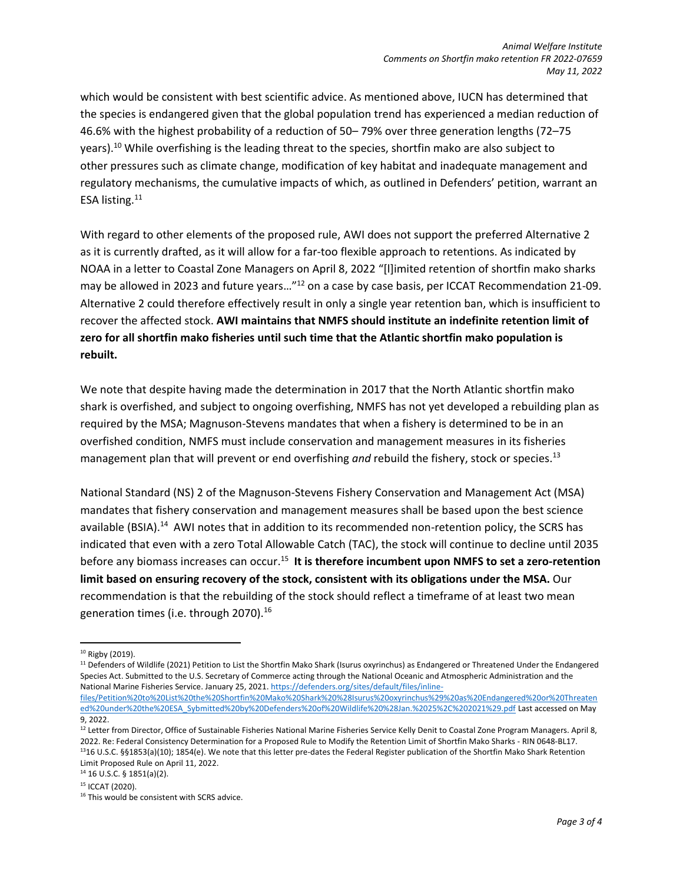which would be consistent with best scientific advice. As mentioned above, IUCN has determined that the species is endangered given that the global population trend has experienced a median reduction of 46.6% with the highest probability of a reduction of 50– 79% over three generation lengths (72–75 years).<sup>10</sup> While overfishing is the leading threat to the species, shortfin mako are also subject to other pressures such as climate change, modification of key habitat and inadequate management and regulatory mechanisms, the cumulative impacts of which, as outlined in Defenders' petition, warrant an ESA listing.<sup>11</sup>

With regard to other elements of the proposed rule, AWI does not support the preferred Alternative 2 as it is currently drafted, as it will allow for a far-too flexible approach to retentions. As indicated by NOAA in a letter to Coastal Zone Managers on April 8, 2022 "[l]imited retention of shortfin mako sharks may be allowed in 2023 and future years..."<sup>12</sup> on a case by case basis, per ICCAT Recommendation 21-09. Alternative 2 could therefore effectively result in only a single year retention ban, which is insufficient to recover the affected stock. **AWI maintains that NMFS should institute an indefinite retention limit of zero for all shortfin mako fisheries until such time that the Atlantic shortfin mako population is rebuilt.**

We note that despite having made the determination in 2017 that the North Atlantic shortfin mako shark is overfished, and subject to ongoing overfishing, NMFS has not yet developed a rebuilding plan as required by the MSA; Magnuson-Stevens mandates that when a fishery is determined to be in an overfished condition, NMFS must include conservation and management measures in its fisheries management plan that will prevent or end overfishing *and* rebuild the fishery, stock or species. 13

National Standard (NS) 2 of the Magnuson-Stevens Fishery Conservation and Management Act (MSA) mandates that fishery conservation and management measures shall be based upon the best science available (BSIA).<sup>14</sup> AWI notes that in addition to its recommended non-retention policy, the SCRS has indicated that even with a zero Total Allowable Catch (TAC), the stock will continue to decline until 2035 before any biomass increases can occur.<sup>15</sup> It is therefore incumbent upon NMFS to set a zero-retention **limit based on ensuring recovery of the stock, consistent with its obligations under the MSA.** Our recommendation is that the rebuilding of the stock should reflect a timeframe of at least two mean generation times (i.e. through 2070).<sup>16</sup>

 $\overline{a}$ 

<sup>&</sup>lt;sup>10</sup> Rigby (2019).

<sup>&</sup>lt;sup>11</sup> Defenders of Wildlife (2021) Petition to List the Shortfin Mako Shark (Isurus oxyrinchus) as Endangered or Threatened Under the Endangered Species Act. Submitted to the U.S. Secretary of Commerce acting through the National Oceanic and Atmospheric Administration and the National Marine Fisheries Service. January 25, 2021[. https://defenders.org/sites/default/files/inline-](https://defenders.org/sites/default/files/inline-files/Petition%20to%20List%20the%20Shortfin%20Mako%20Shark%20%28Isurus%20oxyrinchus%29%20as%20Endangered%20or%20Threatened%20under%20the%20ESA_Sybmitted%20by%20Defenders%20of%20Wildlife%20%28Jan.%2025%2C%202021%29.pdf)

[files/Petition%20to%20List%20the%20Shortfin%20Mako%20Shark%20%28Isurus%20oxyrinchus%29%20as%20Endangered%20or%20Threaten](https://defenders.org/sites/default/files/inline-files/Petition%20to%20List%20the%20Shortfin%20Mako%20Shark%20%28Isurus%20oxyrinchus%29%20as%20Endangered%20or%20Threatened%20under%20the%20ESA_Sybmitted%20by%20Defenders%20of%20Wildlife%20%28Jan.%2025%2C%202021%29.pdf) [ed%20under%20the%20ESA\\_Sybmitted%20by%20Defenders%20of%20Wildlife%20%28Jan.%2025%2C%202021%29.pdf](https://defenders.org/sites/default/files/inline-files/Petition%20to%20List%20the%20Shortfin%20Mako%20Shark%20%28Isurus%20oxyrinchus%29%20as%20Endangered%20or%20Threatened%20under%20the%20ESA_Sybmitted%20by%20Defenders%20of%20Wildlife%20%28Jan.%2025%2C%202021%29.pdf) Last accessed on May 9, 2022.

<sup>&</sup>lt;sup>12</sup> Letter from Director, Office of Sustainable Fisheries National Marine Fisheries Service Kelly Denit to Coastal Zone Program Managers. April 8, 2022. Re: Federal Consistency Determination for a Proposed Rule to Modify the Retention Limit of Shortfin Mako Sharks - RIN 0648-BL17. <sup>13</sup>16 U.S.C. §§1853(a)(10); 1854(e). We note that this letter pre-dates the Federal Register publication of the Shortfin Mako Shark Retention Limit Proposed Rule on April 11, 2022.

<sup>14</sup> 16 U.S.C. § 1851(a)(2).

<sup>15</sup> ICCAT (2020).

<sup>&</sup>lt;sup>16</sup> This would be consistent with SCRS advice.